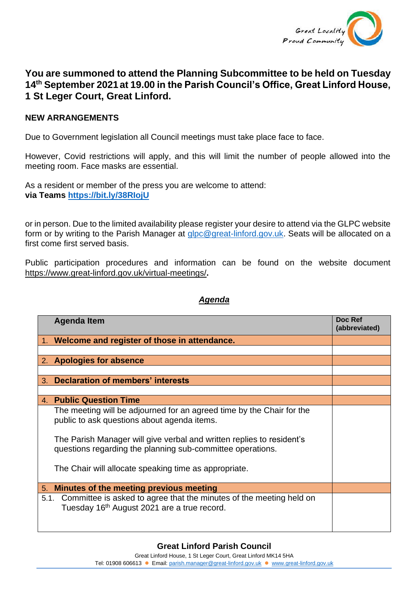

## **You are summoned to attend the Planning Subcommittee to be held on Tuesday 14th September 2021at 19.00 in the Parish Council's Office, Great Linford House, 1 St Leger Court, Great Linford.**

## **NEW ARRANGEMENTS**

Due to Government legislation all Council meetings must take place face to face.

However, Covid restrictions will apply, and this will limit the number of people allowed into the meeting room. Face masks are essential.

As a resident or member of the press you are welcome to attend: **via Teams <https://bit.ly/38RIojU>**

or in person. Due to the limited availability please register your desire to attend via the GLPC website form or by writing to the Parish Manager at [glpc@great-linford.gov.uk.](mailto:glpc@great-linford.gov.uk) Seats will be allocated on a first come first served basis.

Public participation procedures and information can be found on the website document <https://www.great-linford.gov.uk/virtual-meetings/>**.**

## *Agenda*

|    | <b>Agenda Item</b>                                                                                                                                                                                                                                          | Doc Ref<br>(abbreviated) |
|----|-------------------------------------------------------------------------------------------------------------------------------------------------------------------------------------------------------------------------------------------------------------|--------------------------|
|    | 1. Welcome and register of those in attendance.                                                                                                                                                                                                             |                          |
|    |                                                                                                                                                                                                                                                             |                          |
|    | 2. Apologies for absence                                                                                                                                                                                                                                    |                          |
|    |                                                                                                                                                                                                                                                             |                          |
| 3. | Declaration of members' interests                                                                                                                                                                                                                           |                          |
|    |                                                                                                                                                                                                                                                             |                          |
|    | 4. Public Question Time                                                                                                                                                                                                                                     |                          |
|    | The meeting will be adjourned for an agreed time by the Chair for the<br>public to ask questions about agenda items.<br>The Parish Manager will give verbal and written replies to resident's<br>questions regarding the planning sub-committee operations. |                          |
|    | The Chair will allocate speaking time as appropriate.                                                                                                                                                                                                       |                          |
| 5. | Minutes of the meeting previous meeting                                                                                                                                                                                                                     |                          |
|    | 5.1. Committee is asked to agree that the minutes of the meeting held on<br>Tuesday 16 <sup>th</sup> August 2021 are a true record.                                                                                                                         |                          |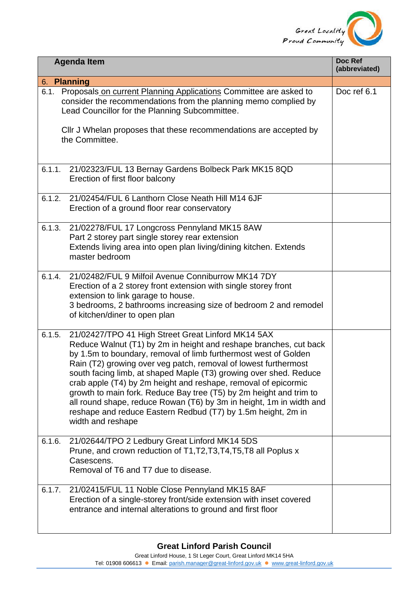

| <b>Agenda Item</b>                                                                                                                                                                                                                                                                                                                                                                                                                                                                                                                                                                                                                               | Doc Ref<br>(abbreviated) |  |  |
|--------------------------------------------------------------------------------------------------------------------------------------------------------------------------------------------------------------------------------------------------------------------------------------------------------------------------------------------------------------------------------------------------------------------------------------------------------------------------------------------------------------------------------------------------------------------------------------------------------------------------------------------------|--------------------------|--|--|
| 6. Planning                                                                                                                                                                                                                                                                                                                                                                                                                                                                                                                                                                                                                                      |                          |  |  |
| Proposals on current Planning Applications Committee are asked to<br>6.1.<br>consider the recommendations from the planning memo complied by<br>Lead Councillor for the Planning Subcommittee.                                                                                                                                                                                                                                                                                                                                                                                                                                                   | Doc ref 6.1              |  |  |
| Cllr J Whelan proposes that these recommendations are accepted by<br>the Committee.                                                                                                                                                                                                                                                                                                                                                                                                                                                                                                                                                              |                          |  |  |
| 21/02323/FUL 13 Bernay Gardens Bolbeck Park MK15 8QD<br>6.1.1.<br>Erection of first floor balcony                                                                                                                                                                                                                                                                                                                                                                                                                                                                                                                                                |                          |  |  |
| 6.1.2.<br>21/02454/FUL 6 Lanthorn Close Neath Hill M14 6JF<br>Erection of a ground floor rear conservatory                                                                                                                                                                                                                                                                                                                                                                                                                                                                                                                                       |                          |  |  |
| 6.1.3.<br>21/02278/FUL 17 Longcross Pennyland MK15 8AW<br>Part 2 storey part single storey rear extension<br>Extends living area into open plan living/dining kitchen. Extends<br>master bedroom                                                                                                                                                                                                                                                                                                                                                                                                                                                 |                          |  |  |
| 21/02482/FUL 9 Milfoil Avenue Conniburrow MK14 7DY<br>6.1.4.<br>Erection of a 2 storey front extension with single storey front<br>extension to link garage to house.<br>3 bedrooms, 2 bathrooms increasing size of bedroom 2 and remodel<br>of kitchen/diner to open plan                                                                                                                                                                                                                                                                                                                                                                       |                          |  |  |
| 21/02427/TPO 41 High Street Great Linford MK14 5AX<br>6.1.5.<br>Reduce Walnut (T1) by 2m in height and reshape branches, cut back<br>by 1.5m to boundary, removal of limb furthermost west of Golden<br>Rain (T2) growing over veg patch, removal of lowest furthermost<br>south facing limb, at shaped Maple (T3) growing over shed. Reduce<br>crab apple (T4) by 2m height and reshape, removal of epicormic<br>growth to main fork. Reduce Bay tree (T5) by 2m height and trim to<br>all round shape, reduce Rowan (T6) by 3m in height, 1m in width and<br>reshape and reduce Eastern Redbud (T7) by 1.5m height, 2m in<br>width and reshape |                          |  |  |
| 21/02644/TPO 2 Ledbury Great Linford MK14 5DS<br>6.1.6.<br>Prune, and crown reduction of T1, T2, T3, T4, T5, T8 all Poplus x<br>Casescens.<br>Removal of T6 and T7 due to disease.                                                                                                                                                                                                                                                                                                                                                                                                                                                               |                          |  |  |
| 6.1.7.<br>21/02415/FUL 11 Noble Close Pennyland MK15 8AF<br>Erection of a single-storey front/side extension with inset covered<br>entrance and internal alterations to ground and first floor                                                                                                                                                                                                                                                                                                                                                                                                                                                   |                          |  |  |